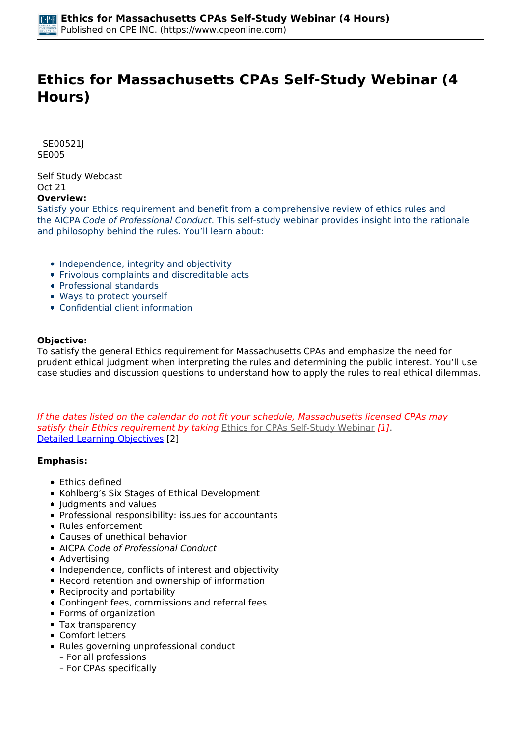# **Ethics for Massachusetts CPAs Self-Study Webinar (4 Hours)**

 *SE00521J SE005* 

*Self Study Webcast Oct 21*  **Overview:** 

*Satisfy your Ethics requirement and benefit from a comprehensive review of ethics rules and the AICPA Code of Professional Conduct. This self-study webinar provides insight into the rationale and philosophy behind the rules. You'll learn about:*

- *Independence, integrity and objectivity*
- *Frivolous complaints and discreditable acts*
- *Professional standards*
- *Ways to protect yourself*
- *Confidential client information*

#### **Objective:**

*To satisfy the general Ethics requirement for Massachusetts CPAs and emphasize the need for prudent ethical judgment when interpreting the rules and determining the public interest. You'll use case studies and discussion questions to understand how to apply the rules to real ethical dilemmas.*

*If the dates listed on the calendar do not fit your schedule, Massachusetts licensed CPAs may satisfy their Ethics requirement by taking [Ethics for CPAs Self-Study Webinar](https://www.cpeonline.com/node/112855) [1]. [Detailed Learning Objectives](https://www.cpeonline.com/JavaScript:showObjectivesPopup();) [2]*

#### **Emphasis:**

- *Ethics defined*
- *Kohlberg's Six Stages of Ethical Development*
- *Judgments and values*
- *Professional responsibility: issues for accountants*
- *Rules enforcement*
- *Causes of unethical behavior*
- *AICPA Code of Professional Conduct*
- *Advertising*
- *Independence, conflicts of interest and objectivity*
- *Record retention and ownership of information*
- *Reciprocity and portability*
- *Contingent fees, commissions and referral fees*
- *Forms of organization*
- *Tax transparency*
- *Comfort letters*
- *Rules governing unprofessional conduct*
	- *For all professions*
	- *For CPAs specifically*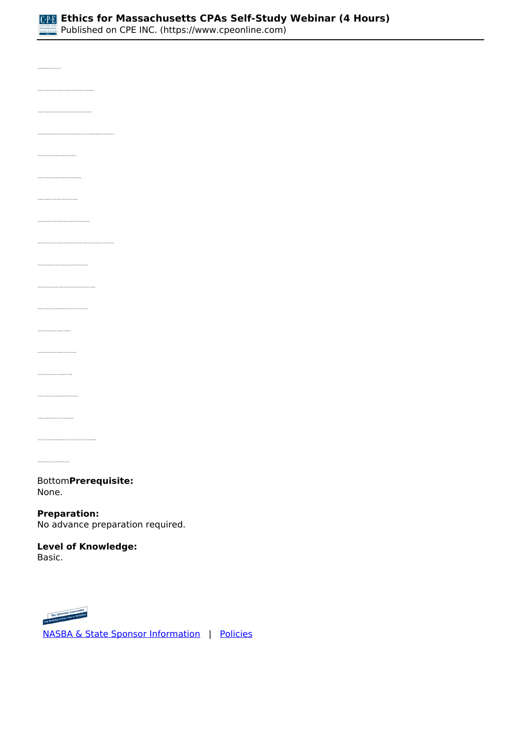

*• Recognize the motivations for ethical behavior as identified in Kohlberg's stages of moral development • Recognize the relative pressure put upon the CPA preparer during the current COVID-19 pandemic • Identify the professional mandates that prevent CPAs from claiming ignorance of the rules and standards applicable to their ethical behavior • Identify the licensing board's primary consideration when disciplining a licensee • Recognize the practitioner's responsibilities to the IRS in regards to client information requests • Identify the time frame in which a practitioner must obtain the informed consent of clients in which the practitioner has a conflict of interest • Determine the single most important consideration when determining the most ethical choice of action(s) • Recognize the primary concern with the performance of attest services for non-attest clients • Identify threats to the practitioner's integrity and objectivity • Identify the work paper retention requirements of the Code of Conduct • Identify the entity responsible for the promulgation of US GAAP • Recognize the primary concerns with contingent fees within the profession • Recognize confidentiality restrictions in the accounting profession • Identify permissible and non- permissible CPA firm names* 

*Bottom***Prerequisite:**  *None.*

# **Preparation:**

*No advance preparation required.*

# **Level of Knowledge:**

*Basic.*



 *[NASBA & State Sponsor Information](https://www.cpeonline.com/sponsor-information)  |  [Policies](https://www.cpeonline.com/policies)*